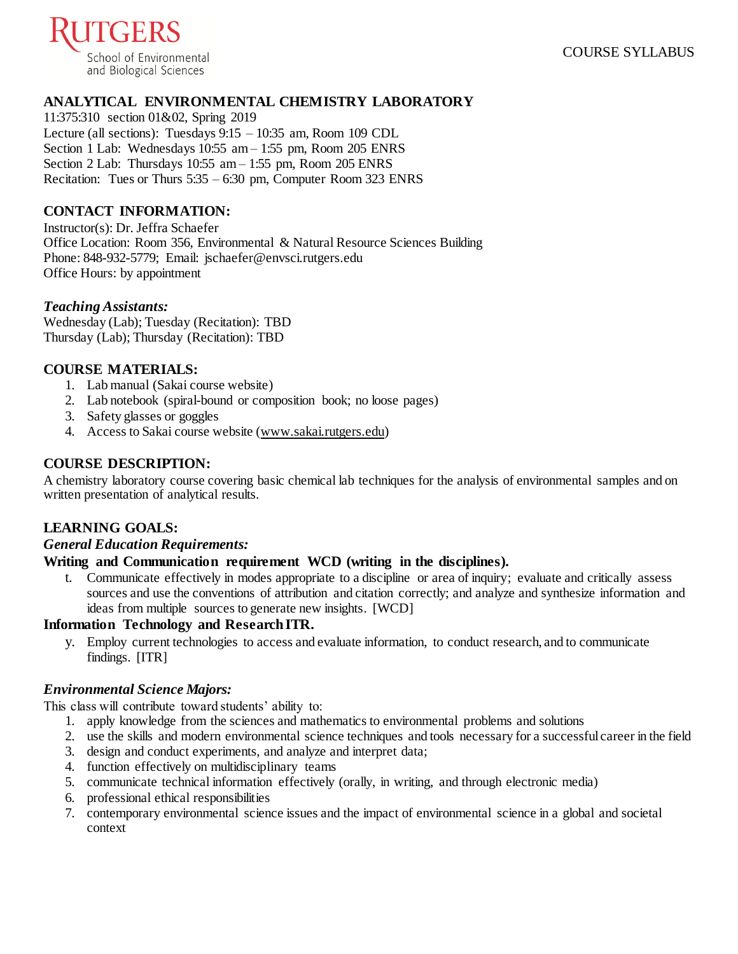

# **ANALYTICAL ENVIRONMENTAL CHEMISTRY LABORATORY**

11:375:310 section 01&02, Spring 2019 Lecture (all sections): Tuesdays 9:15 – 10:35 am, Room 109 CDL Section 1 Lab: Wednesdays 10:55 am – 1:55 pm, Room 205 ENRS Section 2 Lab: Thursdays 10:55 am – 1:55 pm, Room 205 ENRS Recitation: Tues or Thurs 5:35 – 6:30 pm, Computer Room 323 ENRS

# **CONTACT INFORMATION:**

Instructor(s): Dr. Jeffra Schaefer Office Location: Room 356, Environmental & Natural Resource Sciences Building Phone: 848-932-5779; Email: jschaefer@envsci.rutgers.edu Office Hours: by appointment

# *Teaching Assistants:*

Wednesday (Lab); Tuesday (Recitation): TBD Thursday (Lab); Thursday (Recitation): TBD

# **COURSE MATERIALS:**

- 1. Lab manual (Sakai course website)
- 2. Lab notebook (spiral-bound or composition book; no loose pages)
- 3. Safety glasses or goggles
- 4. Access to Sakai course website [\(www.sakai.rutgers.edu](http://www.sakai.rutgers.edu/))

# **COURSE DESCRIPTION:**

A chemistry laboratory course covering basic chemical lab techniques for the analysis of environmental samples and on written presentation of analytical results.

# **LEARNING GOALS:**

### *General Education Requirements:*

### **Writing and Communication requirement WCD (writing in the disciplines).**

t. Communicate effectively in modes appropriate to a discipline or area of inquiry; evaluate and critically assess sources and use the conventions of attribution and citation correctly; and analyze and synthesize information and ideas from multiple sources to generate new insights. [WCD]

### **Information Technology and Research ITR.**

y. Employ current technologies to access and evaluate information, to conduct research, and to communicate findings. [ITR]

### *Environmental Science Majors:*

This class will contribute toward students' ability to:

- 1. apply knowledge from the sciences and mathematics to environmental problems and solutions
- 2. use the skills and modern environmental science techniques and tools necessary for a successful career in the field
- 3. design and conduct experiments, and analyze and interpret data;
- 4. function effectively on multidisciplinary teams
- 5. communicate technical information effectively (orally, in writing, and through electronic media)
- 6. professional ethical responsibilities
- 7. contemporary environmental science issues and the impact of environmental science in a global and societal context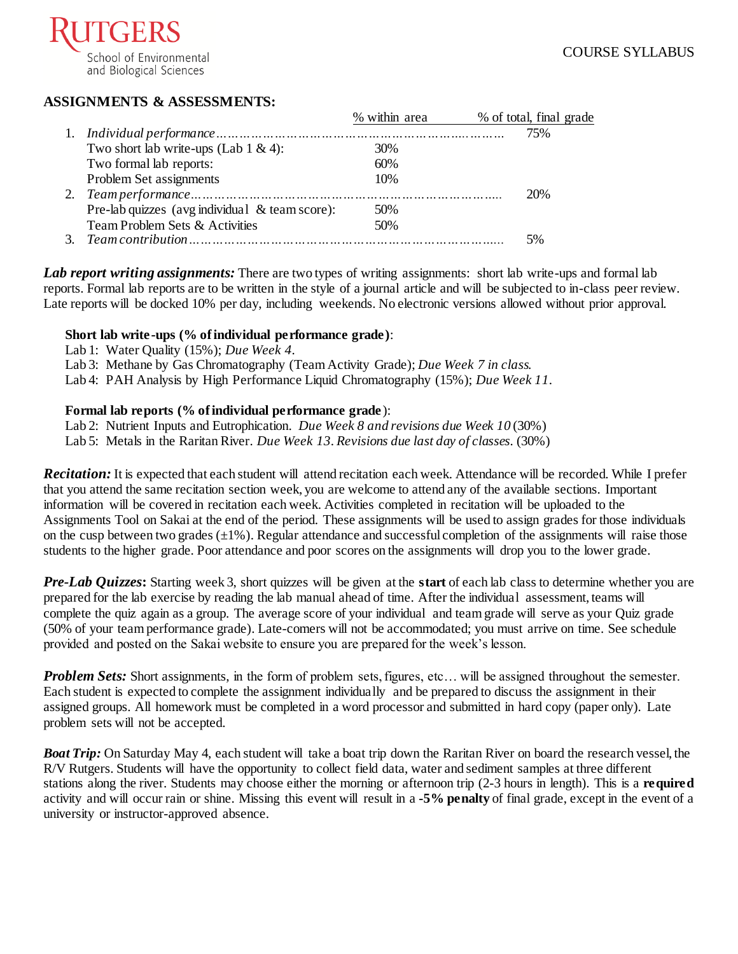

# **ASSIGNMENTS & ASSESSMENTS:**

|                                                | % within area | % of total, final grade |
|------------------------------------------------|---------------|-------------------------|
|                                                |               | 75%                     |
| Two short lab write-ups (Lab $1 \& 4$ ):       | 30%           |                         |
| Two formal lab reports:                        | 60%           |                         |
| Problem Set assignments                        | 10%           |                         |
|                                                |               | 20%                     |
| Pre-lab quizzes (avg individual & team score): | 50%           |                         |
| Team Problem Sets & Activities                 | 50%           |                         |
|                                                |               | 5%                      |
|                                                |               |                         |

*Lab report writing assignments:* There are two types of writing assignments: short lab write-ups and formal lab reports. Formal lab reports are to be written in the style of a journal article and will be subjected to in-class peer review. Late reports will be docked 10% per day, including weekends. No electronic versions allowed without prior approval.

#### **Short lab write-ups (% of individual performance grade)**:

- Lab 1: Water Quality (15%); *Due Week 4.*
- Lab 3: Methane by Gas Chromatography (Team Activity Grade); *Due Week 7 in class.*

Lab 4: PAH Analysis by High Performance Liquid Chromatography (15%); *Due Week 11.*

### **Formal lab reports (% of individual performance grade** ):

Lab 2: Nutrient Inputs and Eutrophication. *Due Week 8 and revisions due Week 10* (30%)

Lab 5: Metals in the Raritan River. *Due Week 13. Revisions due last day of classes.* (30%)

*Recitation:* It is expected that each student will attend recitation each week. Attendance will be recorded. While I prefer that you attend the same recitation section week, you are welcome to attend any of the available sections. Important information will be covered in recitation each week. Activities completed in recitation will be uploaded to the Assignments Tool on Sakai at the end of the period. These assignments will be used to assign grades for those individuals on the cusp between two grades  $(\pm 1\%)$ . Regular attendance and successful completion of the assignments will raise those students to the higher grade. Poor attendance and poor scores on the assignments will drop you to the lower grade.

*Pre-Lab Quizzes***:** Starting week 3, short quizzes will be given at the **start** of each lab class to determine whether you are prepared for the lab exercise by reading the lab manual ahead of time. After the individual assessment, teams will complete the quiz again as a group. The average score of your individual and team grade will serve as your Quiz grade (50% of your team performance grade). Late-comers will not be accommodated; you must arrive on time. See schedule provided and posted on the Sakai website to ensure you are prepared for the week's lesson.

*Problem Sets:* Short assignments, in the form of problem sets, figures, etc... will be assigned throughout the semester. Each student is expected to complete the assignment individually and be prepared to discuss the assignment in their assigned groups. All homework must be completed in a word processor and submitted in hard copy (paper only). Late problem sets will not be accepted.

*Boat Trip:* On Saturday May 4, each student will take a boat trip down the Raritan River on board the research vessel, the R/V Rutgers. Students will have the opportunity to collect field data, water and sediment samples at three different stations along the river. Students may choose either the morning or afternoon trip (2-3 hours in length). This is a **required** activity and will occur rain or shine. Missing this event will result in a **-5% penalty** of final grade, except in the event of a university or instructor-approved absence.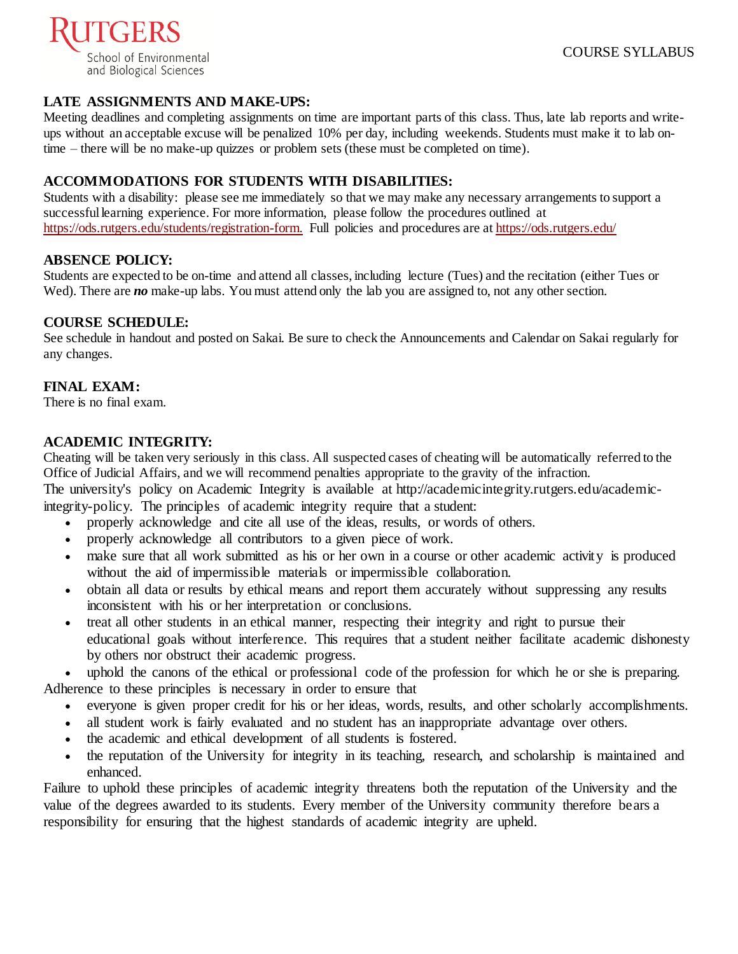

# **LATE ASSIGNMENTS AND MAKE-UPS:**

Meeting deadlines and completing assignments on time are important parts of this class. Thus, late lab reports and writeups without an acceptable excuse will be penalized 10% per day, including weekends. Students must make it to lab ontime – there will be no make-up quizzes or problem sets (these must be completed on time).

# **ACCOMMODATIONS FOR STUDENTS WITH DISABILITIES:**

Students with a disability: please see me immediately so that we may make any necessary arrangements to support a successful learning experience. For more information, please follow the procedures outlined at [https://ods.rutgers.edu/students/registration-form.](https://ods.rutgers.edu/students/registration-form) Full policies and procedures are a[t https://ods.rutgers.edu/](https://ods.rutgers.edu/)

# **ABSENCE POLICY:**

Students are expected to be on-time and attend all classes, including lecture (Tues) and the recitation (either Tues or Wed). There are *no* make-up labs. You must attend only the lab you are assigned to, not any other section.

# **COURSE SCHEDULE:**

See schedule in handout and posted on Sakai. Be sure to check the Announcements and Calendar on Sakai regularly for any changes.

# **FINAL EXAM:**

There is no final exam.

# **ACADEMIC INTEGRITY:**

Cheating will be taken very seriously in this class. All suspected cases of cheating will be automatically referred to the Office of Judicial Affairs, and we will recommend penalties appropriate to the gravity of the infraction.

The university's policy on Academic Integrity is available at [http://academicintegrity.rutgers.edu/academic-](http://academicintegrity.rutgers.edu/academic-integrity-policy)

[integrity-policy.](http://academicintegrity.rutgers.edu/academic-integrity-policy) The principles of academic integrity require that a student:

- properly acknowledge and cite all use of the ideas, results, or words of others.
- properly acknowledge all contributors to a given piece of work.
- make sure that all work submitted as his or her own in a course or other academic activity is produced without the aid of impermissible materials or impermissible collaboration.
- obtain all data or results by ethical means and report them accurately without suppressing any results inconsistent with his or her interpretation or conclusions.
- treat all other students in an ethical manner, respecting their integrity and right to pursue their educational goals without interference. This requires that a student neither facilitate academic dishonesty by others nor obstruct their academic progress.

uphold the canons of the ethical or professional code of the profession for which he or she is preparing. Adherence to these principles is necessary in order to ensure that

- everyone is given proper credit for his or her ideas, words, results, and other scholarly accomplishments.
- all student work is fairly evaluated and no student has an inappropriate advantage over others.
- the academic and ethical development of all students is fostered.
- the reputation of the University for integrity in its teaching, research, and scholarship is maintained and enhanced.

Failure to uphold these principles of academic integrity threatens both the reputation of the University and the value of the degrees awarded to its students. Every member of the University community therefore bears a responsibility for ensuring that the highest standards of academic integrity are upheld.